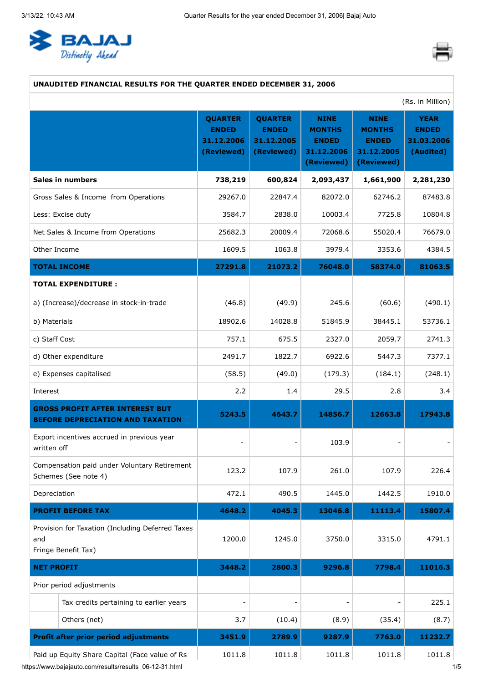<span id="page-0-0"></span>



### **UNAUDITED FINANCIAL RESULTS FOR THE QUARTER ENDED DECEMBER 31, 2006**

| (Rs. in Million)                                                                                          |                                                            |                                                            |                                                                          |                                                                          |                                                        |
|-----------------------------------------------------------------------------------------------------------|------------------------------------------------------------|------------------------------------------------------------|--------------------------------------------------------------------------|--------------------------------------------------------------------------|--------------------------------------------------------|
|                                                                                                           | <b>QUARTER</b><br><b>ENDED</b><br>31.12.2006<br>(Reviewed) | <b>QUARTER</b><br><b>ENDED</b><br>31.12.2005<br>(Reviewed) | <b>NINE</b><br><b>MONTHS</b><br><b>ENDED</b><br>31.12.2006<br>(Reviewed) | <b>NINE</b><br><b>MONTHS</b><br><b>ENDED</b><br>31.12.2005<br>(Reviewed) | <b>YEAR</b><br><b>ENDED</b><br>31.03.2006<br>(Audited) |
| Sales in numbers                                                                                          | 738,219                                                    | 600,824                                                    | 2,093,437                                                                | 1,661,900                                                                | 2,281,230                                              |
| Gross Sales & Income from Operations                                                                      | 29267.0                                                    | 22847.4                                                    | 82072.0                                                                  | 62746.2                                                                  | 87483.8                                                |
| Less: Excise duty                                                                                         | 3584.7                                                     | 2838.0                                                     | 10003.4                                                                  | 7725.8                                                                   | 10804.8                                                |
| Net Sales & Income from Operations                                                                        | 25682.3                                                    | 20009.4                                                    | 72068.6                                                                  | 55020.4                                                                  | 76679.0                                                |
| Other Income                                                                                              | 1609.5                                                     | 1063.8                                                     | 3979.4                                                                   | 3353.6                                                                   | 4384.5                                                 |
| <b>TOTAL INCOME</b>                                                                                       | 27291.8                                                    | 21073.2                                                    | 76048.0                                                                  | 58374.0                                                                  | 81063.5                                                |
| <b>TOTAL EXPENDITURE:</b>                                                                                 |                                                            |                                                            |                                                                          |                                                                          |                                                        |
| a) (Increase)/decrease in stock-in-trade                                                                  | (46.8)                                                     | (49.9)                                                     | 245.6                                                                    | (60.6)                                                                   | (490.1)                                                |
| b) Materials                                                                                              | 18902.6                                                    | 14028.8                                                    | 51845.9                                                                  | 38445.1                                                                  | 53736.1                                                |
| c) Staff Cost                                                                                             | 757.1                                                      | 675.5                                                      | 2327.0                                                                   | 2059.7                                                                   | 2741.3                                                 |
| d) Other expenditure                                                                                      | 2491.7                                                     | 1822.7                                                     | 6922.6                                                                   | 5447.3                                                                   | 7377.1                                                 |
| e) Expenses capitalised                                                                                   | (58.5)                                                     | (49.0)                                                     | (179.3)                                                                  | (184.1)                                                                  | (248.1)                                                |
| Interest                                                                                                  | 2.2                                                        | 1.4                                                        | 29.5                                                                     | 2.8                                                                      | 3.4                                                    |
| <b>GROSS PROFIT AFTER INTEREST BUT</b><br>BEFORE DEPRECIATION AND TAXATION                                | 5243.5                                                     | 4643.7                                                     | 14856.7                                                                  | 12663.8                                                                  | 17943.8                                                |
| Export incentives accrued in previous year<br>written off                                                 |                                                            |                                                            | 103.9                                                                    |                                                                          |                                                        |
| Compensation paid under Voluntary Retirement<br>Schemes (See note 4)                                      | 123.2                                                      | 107.9                                                      | 261.0                                                                    | 107.9                                                                    | 226.4                                                  |
| Depreciation                                                                                              | 472.1                                                      | 490.5                                                      | 1445.0                                                                   | 1442.5                                                                   | 1910.0                                                 |
| <b>PROFIT BEFORE TAX</b>                                                                                  | 4648.2                                                     | 4045.3                                                     | 13046.8                                                                  | 11113.4                                                                  | 15807.4                                                |
| Provision for Taxation (Including Deferred Taxes<br>and<br>Fringe Benefit Tax)                            | 1200.0                                                     | 1245.0                                                     | 3750.0                                                                   | 3315.0                                                                   | 4791.1                                                 |
| <b>NET PROFIT</b>                                                                                         | 3448.2                                                     | 2800.3                                                     | 9296.8                                                                   | 7798.4                                                                   | 11016.3                                                |
| Prior period adjustments                                                                                  |                                                            |                                                            |                                                                          |                                                                          |                                                        |
| Tax credits pertaining to earlier years                                                                   |                                                            |                                                            |                                                                          |                                                                          | 225.1                                                  |
| Others (net)                                                                                              | 3.7                                                        | (10.4)                                                     | (8.9)                                                                    | (35.4)                                                                   | (8.7)                                                  |
| <b>Profit after prior period adjustments</b>                                                              | 3451.9                                                     | 2789.9                                                     | 9287.9                                                                   | 7763.0                                                                   | 11232.7                                                |
| Paid up Equity Share Capital (Face value of Rs<br>https://www.bajajauto.com/results/results 06-12-31.html | 1011.8                                                     | 1011.8                                                     | 1011.8                                                                   | 1011.8                                                                   | 1011.8                                                 |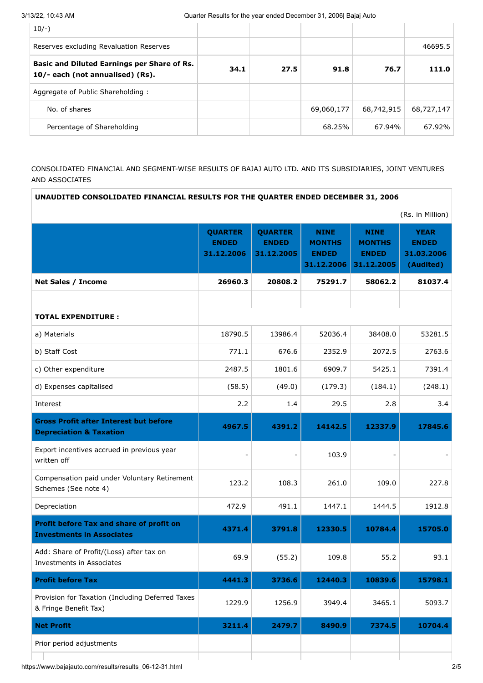| $10/-$ )                                                                        |      |      |            |            |            |
|---------------------------------------------------------------------------------|------|------|------------|------------|------------|
| Reserves excluding Revaluation Reserves                                         |      |      |            |            | 46695.5    |
| Basic and Diluted Earnings per Share of Rs.<br>10/- each (not annualised) (Rs). | 34.1 | 27.5 | 91.8       | 76.7       | 111.0      |
| Aggregate of Public Shareholding:                                               |      |      |            |            |            |
| No. of shares                                                                   |      |      | 69,060,177 | 68,742,915 | 68,727,147 |
| Percentage of Shareholding                                                      |      |      | 68.25%     | 67.94%     | 67.92%     |

# CONSOLIDATED FINANCIAL AND SEGMENT-WISE RESULTS OF BAJAJ AUTO LTD. AND ITS SUBSIDIARIES, JOINT VENTURES AND ASSOCIATES

| UNAUDITED CONSOLIDATED FINANCIAL RESULTS FOR THE QUARTER ENDED DECEMBER 31, 2006    |                                              |                                              |                                                            |                                                            |                                                        |
|-------------------------------------------------------------------------------------|----------------------------------------------|----------------------------------------------|------------------------------------------------------------|------------------------------------------------------------|--------------------------------------------------------|
|                                                                                     |                                              |                                              |                                                            |                                                            | (Rs. in Million)                                       |
|                                                                                     | <b>QUARTER</b><br><b>ENDED</b><br>31.12.2006 | <b>QUARTER</b><br><b>ENDED</b><br>31.12.2005 | <b>NINE</b><br><b>MONTHS</b><br><b>ENDED</b><br>31.12.2006 | <b>NINE</b><br><b>MONTHS</b><br><b>ENDED</b><br>31.12.2005 | <b>YEAR</b><br><b>ENDED</b><br>31.03.2006<br>(Audited) |
| <b>Net Sales / Income</b>                                                           | 26960.3                                      | 20808.2                                      | 75291.7                                                    | 58062.2                                                    | 81037.4                                                |
|                                                                                     |                                              |                                              |                                                            |                                                            |                                                        |
| <b>TOTAL EXPENDITURE:</b>                                                           |                                              |                                              |                                                            |                                                            |                                                        |
| a) Materials                                                                        | 18790.5                                      | 13986.4                                      | 52036.4                                                    | 38408.0                                                    | 53281.5                                                |
| b) Staff Cost                                                                       | 771.1                                        | 676.6                                        | 2352.9                                                     | 2072.5                                                     | 2763.6                                                 |
| c) Other expenditure                                                                | 2487.5                                       | 1801.6                                       | 6909.7                                                     | 5425.1                                                     | 7391.4                                                 |
| d) Expenses capitalised                                                             | (58.5)                                       | (49.0)                                       | (179.3)                                                    | (184.1)                                                    | (248.1)                                                |
| Interest                                                                            | 2.2                                          | 1.4                                          | 29.5                                                       | 2.8                                                        | 3.4                                                    |
| <b>Gross Profit after Interest but before</b><br><b>Depreciation &amp; Taxation</b> | 4967.5                                       | 4391.2                                       | 14142.5                                                    | 12337.9                                                    | 17845.6                                                |
| Export incentives accrued in previous year<br>written off                           |                                              |                                              | 103.9                                                      |                                                            |                                                        |
| Compensation paid under Voluntary Retirement<br>Schemes (See note 4)                | 123.2                                        | 108.3                                        | 261.0                                                      | 109.0                                                      | 227.8                                                  |
| Depreciation                                                                        | 472.9                                        | 491.1                                        | 1447.1                                                     | 1444.5                                                     | 1912.8                                                 |
| Profit before Tax and share of profit on<br><b>Investments in Associates</b>        | 4371.4                                       | 3791.8                                       | 12330.5                                                    | 10784.4                                                    | 15705.0                                                |
| Add: Share of Profit/(Loss) after tax on<br>Investments in Associates               | 69.9                                         | (55.2)                                       | 109.8                                                      | 55.2                                                       | 93.1                                                   |
| <b>Profit before Tax</b>                                                            | 4441.3                                       | 3736.6                                       | 12440.3                                                    | 10839.6                                                    | 15798.1                                                |
| Provision for Taxation (Including Deferred Taxes<br>& Fringe Benefit Tax)           | 1229.9                                       | 1256.9                                       | 3949.4                                                     | 3465.1                                                     | 5093.7                                                 |
| <b>Net Profit</b>                                                                   | 3211.4                                       | 2479.7                                       | 8490.9                                                     | 7374.5                                                     | 10704.4                                                |
| Prior period adjustments                                                            |                                              |                                              |                                                            |                                                            |                                                        |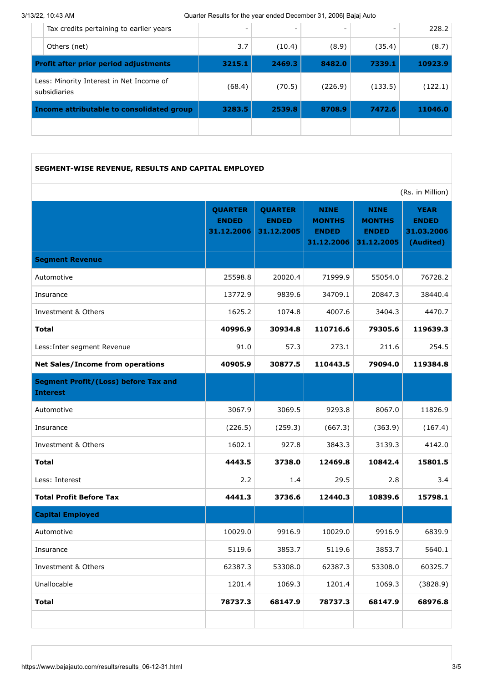3/13/22, 10:43 AM Quarter Results for the year ended December 31, 2006| Bajaj Auto

|                                                          | Income attributable to consolidated group    | 3283.5                   | 2539.8 | 8708.9  | 7472.6  | 11046.0 |
|----------------------------------------------------------|----------------------------------------------|--------------------------|--------|---------|---------|---------|
| Less: Minority Interest in Net Income of<br>subsidiaries |                                              | (68.4)                   | (70.5) | (226.9) | (133.5) | (122.1) |
|                                                          | <b>Profit after prior period adjustments</b> | 3215.1                   | 2469.3 | 8482.0  | 7339.1  | 10923.9 |
|                                                          | Others (net)                                 | 3.7                      | (10.4) | (8.9)   | (35.4)  | (8.7)   |
|                                                          | Tax credits pertaining to earlier years      | $\overline{\phantom{0}}$ |        |         |         | 228.2   |

# **SEGMENT-WISE REVENUE, RESULTS AND CAPITAL EMPLOYED**

(Rs. in Million)

|                                                                | <b>QUARTER</b><br><b>ENDED</b><br>31.12.2006 | <b>QUARTER</b><br><b>ENDED</b><br>31.12.2005 | <b>NINE</b><br><b>MONTHS</b><br><b>ENDED</b><br>31.12.2006 | <b>NINE</b><br><b>MONTHS</b><br><b>ENDED</b><br>31.12.2005 | <b>YEAR</b><br><b>ENDED</b><br>31.03.2006<br>(Audited) |
|----------------------------------------------------------------|----------------------------------------------|----------------------------------------------|------------------------------------------------------------|------------------------------------------------------------|--------------------------------------------------------|
| <b>Segment Revenue</b>                                         |                                              |                                              |                                                            |                                                            |                                                        |
| Automotive                                                     | 25598.8                                      | 20020.4                                      | 71999.9                                                    | 55054.0                                                    | 76728.2                                                |
| Insurance                                                      | 13772.9                                      | 9839.6                                       | 34709.1                                                    | 20847.3                                                    | 38440.4                                                |
| Investment & Others                                            | 1625.2                                       | 1074.8                                       | 4007.6                                                     | 3404.3                                                     | 4470.7                                                 |
| <b>Total</b>                                                   | 40996.9                                      | 30934.8                                      | 110716.6                                                   | 79305.6                                                    | 119639.3                                               |
| Less: Inter segment Revenue                                    | 91.0                                         | 57.3                                         | 273.1                                                      | 211.6                                                      | 254.5                                                  |
| <b>Net Sales/Income from operations</b>                        | 40905.9                                      | 30877.5                                      | 110443.5                                                   | 79094.0                                                    | 119384.8                                               |
| <b>Segment Profit/(Loss) before Tax and</b><br><b>Interest</b> |                                              |                                              |                                                            |                                                            |                                                        |
| Automotive                                                     | 3067.9                                       | 3069.5                                       | 9293.8                                                     | 8067.0                                                     | 11826.9                                                |
| Insurance                                                      | (226.5)                                      | (259.3)                                      | (667.3)                                                    | (363.9)                                                    | (167.4)                                                |
| Investment & Others                                            | 1602.1                                       | 927.8                                        | 3843.3                                                     | 3139.3                                                     | 4142.0                                                 |
| <b>Total</b>                                                   | 4443.5                                       | 3738.0                                       | 12469.8                                                    | 10842.4                                                    | 15801.5                                                |
| Less: Interest                                                 | 2.2                                          | 1.4                                          | 29.5                                                       | 2.8                                                        | 3.4                                                    |
| <b>Total Profit Before Tax</b>                                 | 4441.3                                       | 3736.6                                       | 12440.3                                                    | 10839.6                                                    | 15798.1                                                |
| <b>Capital Employed</b>                                        |                                              |                                              |                                                            |                                                            |                                                        |
| Automotive                                                     | 10029.0                                      | 9916.9                                       | 10029.0                                                    | 9916.9                                                     | 6839.9                                                 |
| Insurance                                                      | 5119.6                                       | 3853.7                                       | 5119.6                                                     | 3853.7                                                     | 5640.1                                                 |
| Investment & Others                                            | 62387.3                                      | 53308.0                                      | 62387.3                                                    | 53308.0                                                    | 60325.7                                                |
| Unallocable                                                    | 1201.4                                       | 1069.3                                       | 1201.4                                                     | 1069.3                                                     | (3828.9)                                               |
| <b>Total</b>                                                   | 78737.3                                      | 68147.9                                      | 78737.3                                                    | 68147.9                                                    | 68976.8                                                |
|                                                                |                                              |                                              |                                                            |                                                            |                                                        |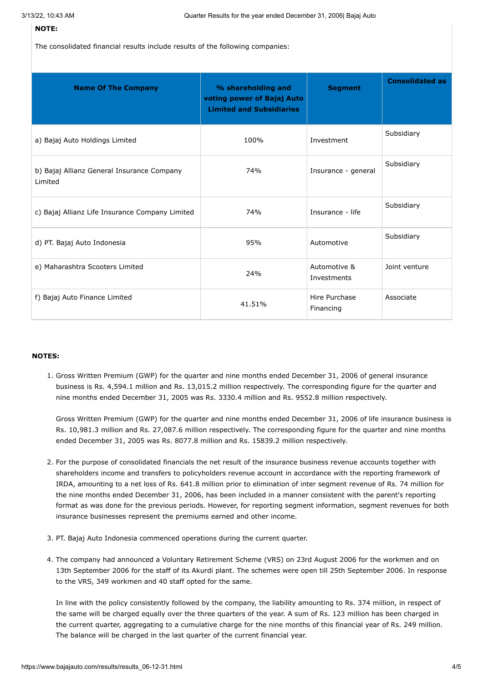#### **NOTE:**

The consolidated financial results include results of the following companies:

| <b>Name Of The Company</b>                            | % shareholding and<br>voting power of Bajaj Auto<br><b>Limited and Subsidiaries</b> | <b>Segment</b>              | <b>Consolidated as</b> |
|-------------------------------------------------------|-------------------------------------------------------------------------------------|-----------------------------|------------------------|
| a) Bajaj Auto Holdings Limited                        | 100%                                                                                | Investment                  | Subsidiary             |
| b) Bajaj Allianz General Insurance Company<br>Limited | 74%                                                                                 | Insurance - general         | Subsidiary             |
| c) Bajaj Allianz Life Insurance Company Limited       | 74%                                                                                 | Insurance - life            | Subsidiary             |
| d) PT. Bajaj Auto Indonesia                           | 95%                                                                                 | Automotive                  | Subsidiary             |
| e) Maharashtra Scooters Limited                       | 24%                                                                                 | Automotive &<br>Investments | Joint venture          |
| f) Bajaj Auto Finance Limited                         | 41.51%                                                                              | Hire Purchase<br>Financing  | Associate              |

#### **NOTES:**

1. Gross Written Premium (GWP) for the quarter and nine months ended December 31, 2006 of general insurance business is Rs. 4,594.1 million and Rs. 13,015.2 million respectively. The corresponding figure for the quarter and nine months ended December 31, 2005 was Rs. 3330.4 million and Rs. 9552.8 million respectively.

Gross Written Premium (GWP) for the quarter and nine months ended December 31, 2006 of life insurance business is Rs. 10,981.3 million and Rs. 27,087.6 million respectively. The corresponding figure for the quarter and nine months ended December 31, 2005 was Rs. 8077.8 million and Rs. 15839.2 million respectively.

- 2. For the purpose of consolidated financials the net result of the insurance business revenue accounts together with shareholders income and transfers to policyholders revenue account in accordance with the reporting framework of IRDA, amounting to a net loss of Rs. 641.8 million prior to elimination of inter segment revenue of Rs. 74 million for the nine months ended December 31, 2006, has been included in a manner consistent with the parent's reporting format as was done for the previous periods. However, for reporting segment information, segment revenues for both insurance businesses represent the premiums earned and other income.
- 3. PT. Bajaj Auto Indonesia commenced operations during the current quarter.
- 4. The company had announced a Voluntary Retirement Scheme (VRS) on 23rd August 2006 for the workmen and on 13th September 2006 for the staff of its Akurdi plant. The schemes were open till 25th September 2006. In response to the VRS, 349 workmen and 40 staff opted for the same.

In line with the policy consistently followed by the company, the liability amounting to Rs. 374 million, in respect of the same will be charged equally over the three quarters of the year. A sum of Rs. 123 million has been charged in the current quarter, aggregating to a cumulative charge for the nine months of this financial year of Rs. 249 million. The balance will be charged in the last quarter of the current financial year.